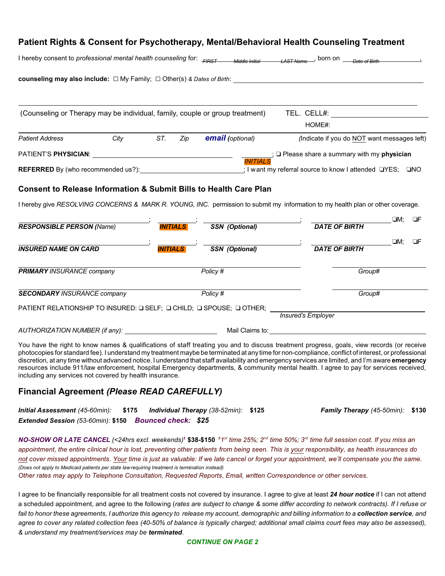## **Patient Rights & Consent for Psychotherapy, Mental/Behavioral Health Counseling Treatment**

| I hereby consent to professional mental health counseling for: FIRST             |      |                 |                 | Middle Initial                                                               | born on<br>$I$ $A$ $C$ $T$ $N$ $\alpha$ m $\alpha$                                                                              |               |    |
|----------------------------------------------------------------------------------|------|-----------------|-----------------|------------------------------------------------------------------------------|---------------------------------------------------------------------------------------------------------------------------------|---------------|----|
| counseling may also include: $\Box$ My Family; $\Box$ Other(s) & Dates of Birth: |      |                 |                 |                                                                              |                                                                                                                                 |               |    |
|                                                                                  |      |                 |                 | (Counseling or Therapy may be individual, family, couple or group treatment) | TEL. CELL#:                                                                                                                     |               |    |
|                                                                                  |      |                 |                 |                                                                              | HOME#:                                                                                                                          |               |    |
| <b>Patient Address</b>                                                           | City | ST.             | Zip             | <b>email</b> (optional)                                                      | (Indicate if you do NOT want messages left)                                                                                     |               |    |
| PATIENT'S PHYSICIAN:                                                             |      |                 |                 |                                                                              | ; □ Please share a summary with my physician                                                                                    |               |    |
| <b>REFERRED</b> By (who recommended us?):                                        |      |                 |                 |                                                                              | : I want my referral source to know I attended □YES; □NO                                                                        |               |    |
|                                                                                  |      |                 |                 | <b>Consent to Release Information &amp; Submit Bills to Health Care Plan</b> |                                                                                                                                 |               |    |
|                                                                                  |      |                 |                 |                                                                              | I hereby give RESOLVING CONCERNS & MARK R. YOUNG, INC. permission to submit my information to my health plan or other coverage. |               |    |
| <b>RESPONSIBLE PERSON (Name)</b>                                                 |      |                 | <b>INITIALS</b> | <b>SSN</b> (Optional)                                                        | <b>DATE OF BIRTH</b>                                                                                                            | ⊡M:           | ΩF |
| <b>INSURED NAME ON CARD</b>                                                      |      | <b>INITIALS</b> |                 | <b>SSN</b> (Optional)                                                        | <b>DATE OF BIRTH</b>                                                                                                            | $\square M$ : | ΠF |
| <b>PRIMARY INSURANCE company</b>                                                 |      |                 |                 | Policy #                                                                     | Group#                                                                                                                          |               |    |

| <b>SECONDARY INSURANCE company</b>                                   | Policy # |                    | Group# |
|----------------------------------------------------------------------|----------|--------------------|--------|
| PATIENT RELATIONSHIP TO INSURED: □ SELF; □ CHILD; □ SPOUSE; □ OTHER; |          |                    |        |
|                                                                      |          | Insured's Employer |        |

| AUTHORIZATION NUMBER (if any): | Mail Claims to: |
|--------------------------------|-----------------|
|--------------------------------|-----------------|

You have the right to know names & qualifications of staff treating you and to discuss treatment progress, goals, view records (or receive photocopies for standard fee). I understand my treatment maybe be terminated at any time for non-compliance, conflict of interest, or professional discretion, at any time without advanced notice. I understand that staff availability and emergency services are limited, and I'm aware **emergency** resources include 911/law enforcement, hospital Emergency departments, & community mental health. I agree to pay for services received, including any services not covered by health insurance.

## **Financial Agreement** *(Please READ CAREFULLY)*

| Initial Assessment (45-60min): \$175 Individual Therapy (38-52min): \$125 |  | Family Therapy (45-50min): \$130 |  |
|---------------------------------------------------------------------------|--|----------------------------------|--|
| Extended Session (53-60min): \$150 Bounced check: \$25                    |  |                                  |  |

*NO-SHOW OR LATE CANCEL (<24hrs excl. weekends)* **† \$38-\$150** *†1 st time 25%; 2nd time 50%; 3rd time full session cost. If you miss an appointment, the entire clinical hour is lost, preventing other patients from being seen. This is your responsibility, as health insurances do not cover missed appointments. Your time is just as valuable: If we late cancel or forget your appointment, we'll compensate you the same. (Does not apply to Medicaid patients per state law requiring treatment is termination instead)*

*Other rates may apply to Telephone Consultation, Requested Reports, Email, written Correspondence or other services.*

I agree to be financially responsible for all treatment costs not covered by insurance. I agree to give at least *24 hour notice* if I can not attend a scheduled appointment, and agree to the following (*rates are subject to change & some differ according to network contracts). If I refuse or fail to honor these agreements, I authorize this agency to release my account, demographic and billing information to a collection service, and agree to cover any related collection fees (40-50% of balance is typically charged; additional small claims court fees may also be assessed), & understand my treatment/services may be terminated.*

## *CONTINUE ON PAGE 2*